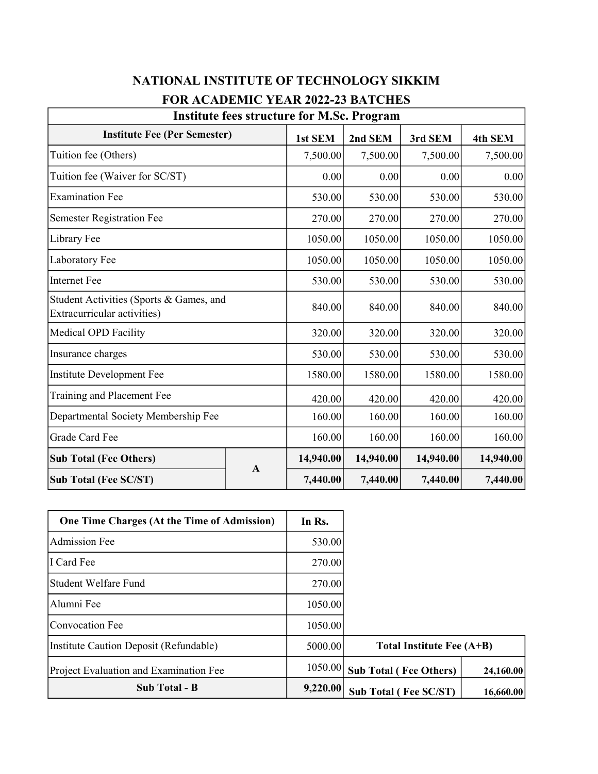| <b>Institute fees structure for M.Sc. Program</b>                      |              |           |           |           |           |  |  |  |
|------------------------------------------------------------------------|--------------|-----------|-----------|-----------|-----------|--|--|--|
| <b>Institute Fee (Per Semester)</b>                                    |              | 1st SEM   | 2nd SEM   | 3rd SEM   | 4th SEM   |  |  |  |
| Tuition fee (Others)                                                   |              | 7,500.00  | 7,500.00  | 7,500.00  | 7,500.00  |  |  |  |
| Tuition fee (Waiver for SC/ST)                                         |              | 0.00      | 0.00      | 0.00      | 0.00      |  |  |  |
| <b>Examination Fee</b>                                                 |              | 530.00    | 530.00    | 530.00    | 530.00    |  |  |  |
| <b>Semester Registration Fee</b>                                       |              | 270.00    | 270.00    | 270.00    | 270.00    |  |  |  |
| Library Fee                                                            |              | 1050.00   | 1050.00   | 1050.00   | 1050.00   |  |  |  |
| Laboratory Fee                                                         |              | 1050.00   | 1050.00   | 1050.00   | 1050.00   |  |  |  |
| <b>Internet Fee</b>                                                    |              | 530.00    | 530.00    | 530.00    | 530.00    |  |  |  |
| Student Activities (Sports & Games, and<br>Extracurricular activities) |              | 840.00    | 840.00    | 840.00    | 840.00    |  |  |  |
| Medical OPD Facility                                                   |              | 320.00    | 320.00    | 320.00    | 320.00    |  |  |  |
| Insurance charges                                                      |              | 530.00    | 530.00    | 530.00    | 530.00    |  |  |  |
| Institute Development Fee                                              |              | 1580.00   | 1580.00   | 1580.00   | 1580.00   |  |  |  |
| Training and Placement Fee                                             |              | 420.00    | 420.00    | 420.00    | 420.00    |  |  |  |
| Departmental Society Membership Fee                                    |              | 160.00    | 160.00    | 160.00    | 160.00    |  |  |  |
| Grade Card Fee                                                         |              | 160.00    | 160.00    | 160.00    | 160.00    |  |  |  |
| <b>Sub Total (Fee Others)</b>                                          | $\mathbf{A}$ | 14,940.00 | 14,940.00 | 14,940.00 | 14,940.00 |  |  |  |
| <b>Sub Total (Fee SC/ST)</b>                                           |              | 7,440.00  | 7,440.00  | 7,440.00  | 7,440.00  |  |  |  |

## NATIONAL INSTITUTE OF TECHNOLOGY SIKKIM FOR ACADEMIC YEAR 2022-23 BATCHES

| <b>One Time Charges (At the Time of Admission)</b> | In Rs.   |                               |           |
|----------------------------------------------------|----------|-------------------------------|-----------|
| Admission Fee                                      | 530.00   |                               |           |
| I Card Fee                                         | 270.00   |                               |           |
| Student Welfare Fund                               | 270.00   |                               |           |
| Alumni Fee                                         | 1050.00  |                               |           |
| Convocation Fee                                    | 1050.00  |                               |           |
| Institute Caution Deposit (Refundable)             | 5000.00  | Total Institute Fee (A+B)     |           |
| Project Evaluation and Examination Fee             | 1050.00  | <b>Sub Total (Fee Others)</b> | 24,160.00 |
| <b>Sub Total - B</b>                               | 9,220.00 | <b>Sub Total (Fee SC/ST)</b>  | 16,660.00 |